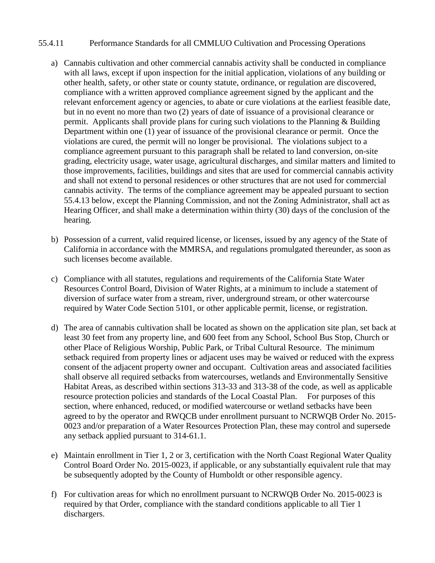## 55.4.11 Performance Standards for all CMMLUO Cultivation and Processing Operations

- a) Cannabis cultivation and other commercial cannabis activity shall be conducted in compliance with all laws, except if upon inspection for the initial application, violations of any building or other health, safety, or other state or county statute, ordinance, or regulation are discovered, compliance with a written approved compliance agreement signed by the applicant and the relevant enforcement agency or agencies, to abate or cure violations at the earliest feasible date, but in no event no more than two (2) years of date of issuance of a provisional clearance or permit. Applicants shall provide plans for curing such violations to the Planning & Building Department within one (1) year of issuance of the provisional clearance or permit. Once the violations are cured, the permit will no longer be provisional. The violations subject to a compliance agreement pursuant to this paragraph shall be related to land conversion, on-site grading, electricity usage, water usage, agricultural discharges, and similar matters and limited to those improvements, facilities, buildings and sites that are used for commercial cannabis activity and shall not extend to personal residences or other structures that are not used for commercial cannabis activity. The terms of the compliance agreement may be appealed pursuant to section 55.4.13 below, except the Planning Commission, and not the Zoning Administrator, shall act as Hearing Officer, and shall make a determination within thirty (30) days of the conclusion of the hearing.
- b) Possession of a current, valid required license, or licenses, issued by any agency of the State of California in accordance with the MMRSA, and regulations promulgated thereunder, as soon as such licenses become available.
- c) Compliance with all statutes, regulations and requirements of the California State Water Resources Control Board, Division of Water Rights, at a minimum to include a statement of diversion of surface water from a stream, river, underground stream, or other watercourse required by Water Code Section 5101, or other applicable permit, license, or registration.
- d) The area of cannabis cultivation shall be located as shown on the application site plan, set back at least 30 feet from any property line, and 600 feet from any School, School Bus Stop, Church or other Place of Religious Worship, Public Park, or Tribal Cultural Resource. The minimum setback required from property lines or adjacent uses may be waived or reduced with the express consent of the adjacent property owner and occupant. Cultivation areas and associated facilities shall observe all required setbacks from watercourses, wetlands and Environmentally Sensitive Habitat Areas, as described within sections 313-33 and 313-38 of the code, as well as applicable resource protection policies and standards of the Local Coastal Plan. For purposes of this section, where enhanced, reduced, or modified watercourse or wetland setbacks have been agreed to by the operator and RWQCB under enrollment pursuant to NCRWQB Order No. 2015- 0023 and/or preparation of a Water Resources Protection Plan, these may control and supersede any setback applied pursuant to 314-61.1.
- e) Maintain enrollment in Tier 1, 2 or 3, certification with the North Coast Regional Water Quality Control Board Order No. 2015-0023, if applicable, or any substantially equivalent rule that may be subsequently adopted by the County of Humboldt or other responsible agency.
- f) For cultivation areas for which no enrollment pursuant to NCRWQB Order No. 2015-0023 is required by that Order, compliance with the standard conditions applicable to all Tier 1 dischargers.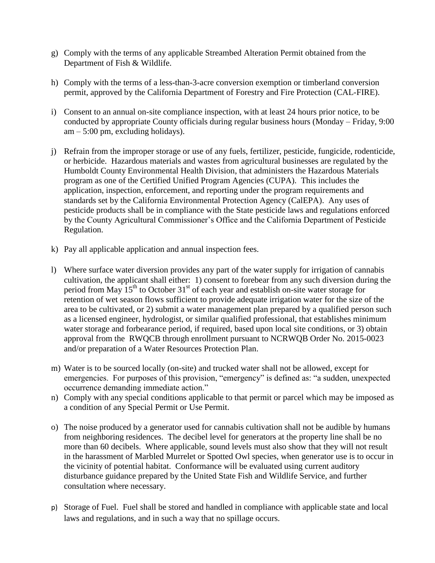- g) Comply with the terms of any applicable Streambed Alteration Permit obtained from the Department of Fish & Wildlife.
- h) Comply with the terms of a less-than-3-acre conversion exemption or timberland conversion permit, approved by the California Department of Forestry and Fire Protection (CAL-FIRE).
- i) Consent to an annual on-site compliance inspection, with at least 24 hours prior notice, to be conducted by appropriate County officials during regular business hours (Monday – Friday, 9:00  $am - 5:00 \text{ pm}$ , excluding holidays).
- j) Refrain from the improper storage or use of any fuels, fertilizer, pesticide, fungicide, rodenticide, or herbicide. Hazardous materials and wastes from agricultural businesses are regulated by the Humboldt County Environmental Health Division, that administers the Hazardous Materials program as one of the Certified Unified Program Agencies (CUPA). This includes the application, inspection, enforcement, and reporting under the program requirements and standards set by the California Environmental Protection Agency (CalEPA). Any uses of pesticide products shall be in compliance with the State pesticide laws and regulations enforced by the County Agricultural Commissioner's Office and the California Department of Pesticide Regulation.
- k) Pay all applicable application and annual inspection fees.
- l) Where surface water diversion provides any part of the water supply for irrigation of cannabis cultivation, the applicant shall either: 1) consent to forebear from any such diversion during the period from May  $15<sup>th</sup>$  to October 31<sup>st</sup> of each year and establish on-site water storage for retention of wet season flows sufficient to provide adequate irrigation water for the size of the area to be cultivated, or 2) submit a water management plan prepared by a qualified person such as a licensed engineer, hydrologist, or similar qualified professional, that establishes minimum water storage and forbearance period, if required, based upon local site conditions, or 3) obtain approval from the RWQCB through enrollment pursuant to NCRWQB Order No. 2015-0023 and/or preparation of a Water Resources Protection Plan.
- m) Water is to be sourced locally (on-site) and trucked water shall not be allowed, except for emergencies. For purposes of this provision, "emergency" is defined as: "a sudden, unexpected occurrence demanding immediate action."
- n) Comply with any special conditions applicable to that permit or parcel which may be imposed as a condition of any Special Permit or Use Permit.
- o) The noise produced by a generator used for cannabis cultivation shall not be audible by humans from neighboring residences. The decibel level for generators at the property line shall be no more than 60 decibels. Where applicable, sound levels must also show that they will not result in the harassment of Marbled Murrelet or Spotted Owl species, when generator use is to occur in the vicinity of potential habitat. Conformance will be evaluated using current auditory disturbance guidance prepared by the United State Fish and Wildlife Service, and further consultation where necessary.
- p) Storage of Fuel. Fuel shall be stored and handled in compliance with applicable state and local laws and regulations, and in such a way that no spillage occurs.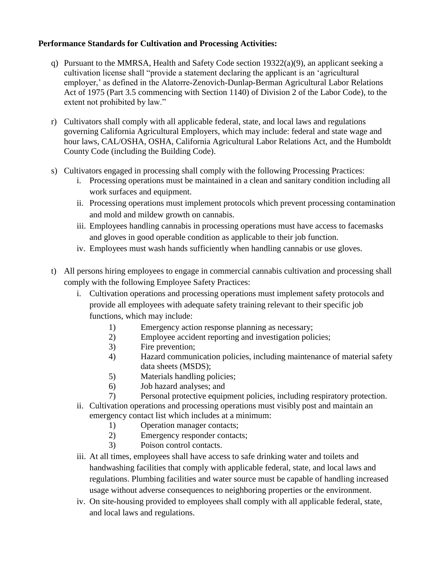## **Performance Standards for Cultivation and Processing Activities:**

- q) Pursuant to the MMRSA, Health and Safety Code section 19322(a)(9), an applicant seeking a cultivation license shall "provide a statement declaring the applicant is an 'agricultural employer,' as defined in the Alatorre-Zenovich-Dunlap-Berman Agricultural Labor Relations Act of 1975 (Part 3.5 commencing with Section 1140) of Division 2 of the Labor Code), to the extent not prohibited by law."
- r) Cultivators shall comply with all applicable federal, state, and local laws and regulations governing California Agricultural Employers, which may include: federal and state wage and hour laws, CAL/OSHA, OSHA, California Agricultural Labor Relations Act, and the Humboldt County Code (including the Building Code).
- s) Cultivators engaged in processing shall comply with the following Processing Practices:
	- i. Processing operations must be maintained in a clean and sanitary condition including all work surfaces and equipment.
	- ii. Processing operations must implement protocols which prevent processing contamination and mold and mildew growth on cannabis.
	- iii. Employees handling cannabis in processing operations must have access to facemasks and gloves in good operable condition as applicable to their job function.
	- iv. Employees must wash hands sufficiently when handling cannabis or use gloves.
- t) All persons hiring employees to engage in commercial cannabis cultivation and processing shall comply with the following Employee Safety Practices:
	- i. Cultivation operations and processing operations must implement safety protocols and provide all employees with adequate safety training relevant to their specific job functions, which may include:
		- 1) Emergency action response planning as necessary;
		- 2) Employee accident reporting and investigation policies;
		- 3) Fire prevention;
		- 4) Hazard communication policies, including maintenance of material safety data sheets (MSDS);
		- 5) Materials handling policies;
		- 6) Job hazard analyses; and
		- 7) Personal protective equipment policies, including respiratory protection.
	- ii. Cultivation operations and processing operations must visibly post and maintain an emergency contact list which includes at a minimum:
		- 1) Operation manager contacts;
		- 2) Emergency responder contacts;
		- 3) Poison control contacts.
	- iii. At all times, employees shall have access to safe drinking water and toilets and handwashing facilities that comply with applicable federal, state, and local laws and regulations. Plumbing facilities and water source must be capable of handling increased usage without adverse consequences to neighboring properties or the environment.
	- iv. On site-housing provided to employees shall comply with all applicable federal, state, and local laws and regulations.